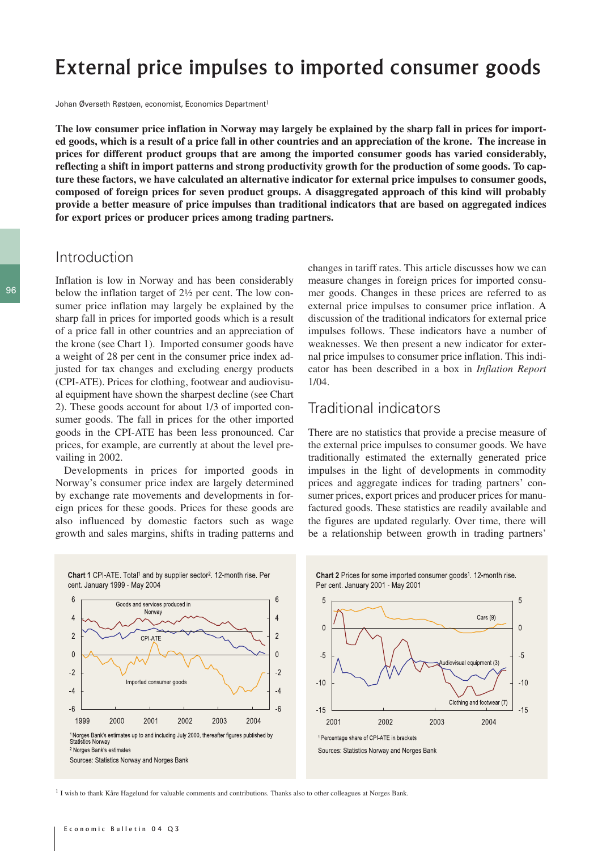# External price impulses to imported consumer goods

Johan Øverseth Røstøen, economist, Economics Department<sup>1</sup>

**The low consumer price inflation in Norway may largely be explained by the sharp fall in prices for imported goods, which is a result of a price fall in other countries and an appreciation of the krone. The increase in prices for different product groups that are among the imported consumer goods has varied considerably, reflecting a shift in import patterns and strong productivity growth for the production of some goods. To capture these factors, we have calculated an alternative indicator for external price impulses to consumer goods, composed of foreign prices for seven product groups. A disaggregated approach of this kind will probably provide a better measure of price impulses than traditional indicators that are based on aggregated indices for export prices or producer prices among trading partners.**

# Introduction

Inflation is low in Norway and has been considerably below the inflation target of 2½ per cent. The low consumer price inflation may largely be explained by the sharp fall in prices for imported goods which is a result of a price fall in other countries and an appreciation of the krone (see Chart 1). Imported consumer goods have a weight of 28 per cent in the consumer price index adjusted for tax changes and excluding energy products (CPI-ATE). Prices for clothing, footwear and audiovisual equipment have shown the sharpest decline (see Chart 2). These goods account for about 1/3 of imported consumer goods. The fall in prices for the other imported goods in the CPI-ATE has been less pronounced. Car prices, for example, are currently at about the level prevailing in 2002.

Developments in prices for imported goods in Norway's consumer price index are largely determined by exchange rate movements and developments in foreign prices for these goods. Prices for these goods are also influenced by domestic factors such as wage growth and sales margins, shifts in trading patterns and changes in tariff rates. This article discusses how we can measure changes in foreign prices for imported consumer goods. Changes in these prices are referred to as external price impulses to consumer price inflation. A discussion of the traditional indicators for external price impulses follows. These indicators have a number of weaknesses. We then present a new indicator for external price impulses to consumer price inflation. This indicator has been described in a box in *Inflation Report* 1/04.

## Traditional indicators

There are no statistics that provide a precise measure of the external price impulses to consumer goods. We have traditionally estimated the externally generated price impulses in the light of developments in commodity prices and aggregate indices for trading partners' consumer prices, export prices and producer prices for manufactured goods. These statistics are readily available and the figures are updated regularly. Over time, there will be a relationship between growth in trading partners'



Chart 2 Prices for some imported consumer goods<sup>1</sup>. 12-month rise. Per cent. January 2001 - May 2001



<sup>1</sup> I wish to thank Kåre Hagelund for valuable comments and contributions. Thanks also to other colleagues at Norges Bank.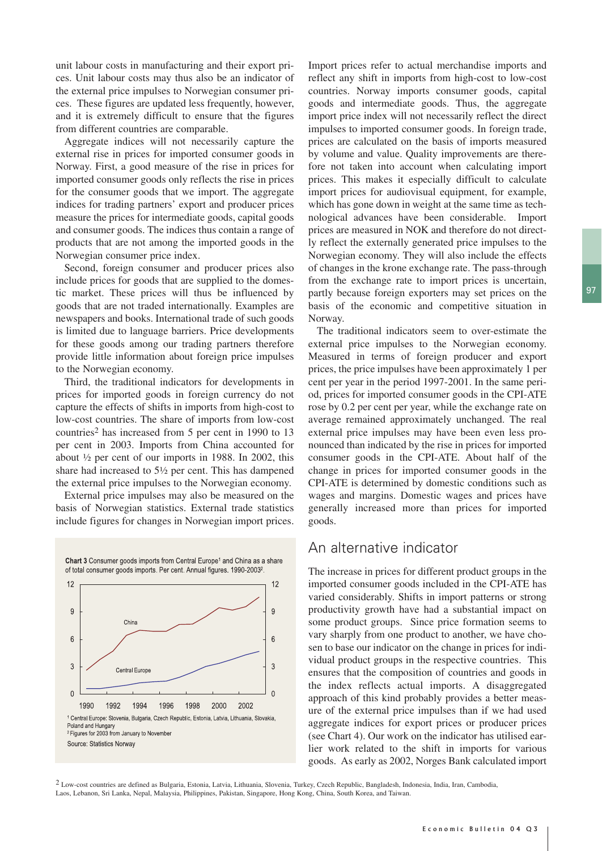unit labour costs in manufacturing and their export prices. Unit labour costs may thus also be an indicator of the external price impulses to Norwegian consumer prices. These figures are updated less frequently, however, and it is extremely difficult to ensure that the figures from different countries are comparable.

Aggregate indices will not necessarily capture the external rise in prices for imported consumer goods in Norway. First, a good measure of the rise in prices for imported consumer goods only reflects the rise in prices for the consumer goods that we import. The aggregate indices for trading partners' export and producer prices measure the prices for intermediate goods, capital goods and consumer goods. The indices thus contain a range of products that are not among the imported goods in the Norwegian consumer price index.

Second, foreign consumer and producer prices also include prices for goods that are supplied to the domestic market. These prices will thus be influenced by goods that are not traded internationally. Examples are newspapers and books. International trade of such goods is limited due to language barriers. Price developments for these goods among our trading partners therefore provide little information about foreign price impulses to the Norwegian economy.

Third, the traditional indicators for developments in prices for imported goods in foreign currency do not capture the effects of shifts in imports from high-cost to low-cost countries. The share of imports from low-cost countries2 has increased from 5 per cent in 1990 to 13 per cent in 2003. Imports from China accounted for about ½ per cent of our imports in 1988. In 2002, this share had increased to 5½ per cent. This has dampened the external price impulses to the Norwegian economy.

External price impulses may also be measured on the basis of Norwegian statistics. External trade statistics include figures for changes in Norwegian import prices.



Import prices refer to actual merchandise imports and reflect any shift in imports from high-cost to low-cost countries. Norway imports consumer goods, capital goods and intermediate goods. Thus, the aggregate import price index will not necessarily reflect the direct impulses to imported consumer goods. In foreign trade, prices are calculated on the basis of imports measured by volume and value. Quality improvements are therefore not taken into account when calculating import prices. This makes it especially difficult to calculate import prices for audiovisual equipment, for example, which has gone down in weight at the same time as technological advances have been considerable. Import prices are measured in NOK and therefore do not directly reflect the externally generated price impulses to the Norwegian economy. They will also include the effects of changes in the krone exchange rate. The pass-through from the exchange rate to import prices is uncertain, partly because foreign exporters may set prices on the basis of the economic and competitive situation in Norway.

The traditional indicators seem to over-estimate the external price impulses to the Norwegian economy. Measured in terms of foreign producer and export prices, the price impulses have been approximately 1 per cent per year in the period 1997-2001. In the same period, prices for imported consumer goods in the CPI-ATE rose by 0.2 per cent per year, while the exchange rate on average remained approximately unchanged. The real external price impulses may have been even less pronounced than indicated by the rise in prices for imported consumer goods in the CPI-ATE. About half of the change in prices for imported consumer goods in the CPI-ATE is determined by domestic conditions such as wages and margins. Domestic wages and prices have generally increased more than prices for imported goods.

#### An alternative indicator

The increase in prices for different product groups in the imported consumer goods included in the CPI-ATE has varied considerably. Shifts in import patterns or strong productivity growth have had a substantial impact on some product groups. Since price formation seems to vary sharply from one product to another, we have chosen to base our indicator on the change in prices for individual product groups in the respective countries. This ensures that the composition of countries and goods in the index reflects actual imports. A disaggregated approach of this kind probably provides a better measure of the external price impulses than if we had used aggregate indices for export prices or producer prices (see Chart 4). Our work on the indicator has utilised earlier work related to the shift in imports for various goods. As early as 2002, Norges Bank calculated import

2 Low-cost countries are defined as Bulgaria, Estonia, Latvia, Lithuania, Slovenia, Turkey, Czech Republic, Bangladesh, Indonesia, India, Iran, Cambodia, Laos, Lebanon, Sri Lanka, Nepal, Malaysia, Philippines, Pakistan, Singapore, Hong Kong, China, South Korea, and Taiwan.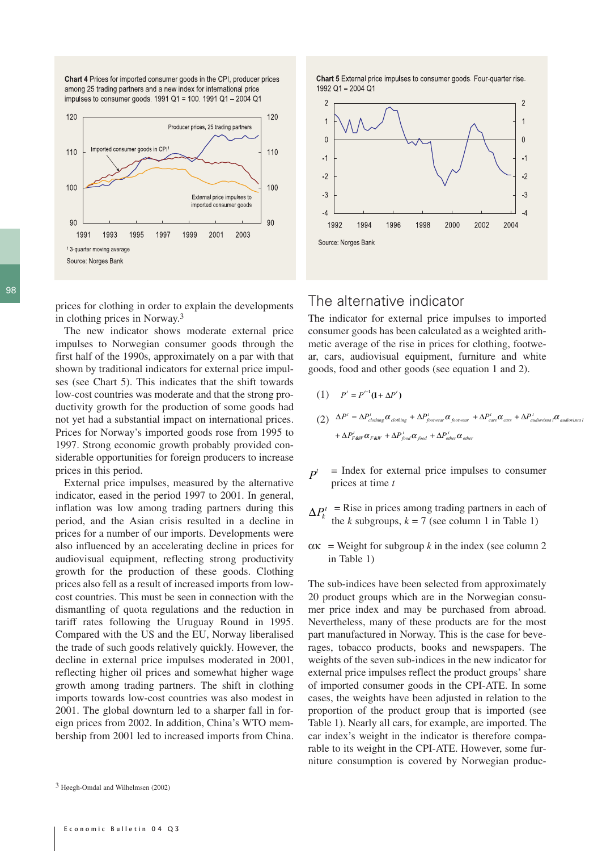Chart 4 Prices for imported consumer goods in the CPI, producer prices among 25 trading partners and a new index for international price impulses to consumer goods. 1991 Q1 = 100. 1991 Q1 - 2004 Q1



98

prices for clothing in order to explain the developments in clothing prices in Norway.3

The new indicator shows moderate external price impulses to Norwegian consumer goods through the first half of the 1990s, approximately on a par with that shown by traditional indicators for external price impulses (see Chart 5). This indicates that the shift towards low-cost countries was moderate and that the strong productivity growth for the production of some goods had not yet had a substantial impact on international prices. Prices for Norway's imported goods rose from 1995 to 1997. Strong economic growth probably provided considerable opportunities for foreign producers to increase prices in this period.

External price impulses, measured by the alternative indicator, eased in the period 1997 to 2001. In general, inflation was low among trading partners during this period, and the Asian crisis resulted in a decline in prices for a number of our imports. Developments were also influenced by an accelerating decline in prices for audiovisual equipment, reflecting strong productivity growth for the production of these goods. Clothing prices also fell as a result of increased imports from lowcost countries. This must be seen in connection with the dismantling of quota regulations and the reduction in tariff rates following the Uruguay Round in 1995. Compared with the US and the EU, Norway liberalised the trade of such goods relatively quickly. However, the decline in external price impulses moderated in 2001, reflecting higher oil prices and somewhat higher wage growth among trading partners. The shift in clothing imports towards low-cost countries was also modest in 2001. The global downturn led to a sharper fall in foreign prices from 2002. In addition, China's WTO membership from 2001 led to increased imports from China. Chart 5 External price impulses to consumer goods. Four-quarter rise. 1992 Q1-2004 Q1



## The alternative indicator

The indicator for external price impulses to imported consumer goods has been calculated as a weighted arithmetic average of the rise in prices for clothing, footwear, cars, audiovisual equipment, furniture and white goods, food and other goods (see equation 1 and 2).

- $(1)$   $P' = P^{t-1}(1 + \Delta P')$
- $(2) \quad \Delta P' = \Delta P'_{clothing} \alpha_{clothing} + \Delta P'_{footwear} \alpha_{footwear} + \Delta P'_{cars} \alpha_{cars} + \Delta P'_{audiovisua} \alpha_{audiovisua}$  $f + \Delta P_{F\&W}^t \alpha_{F\&W} + \Delta P_{food}^t \alpha_{food} + \Delta P_{other}^t \alpha_{other}$
- = Index for external price impulses to consumer prices at time *t*  $P<sup>t</sup>$
- $\Delta P_k^t$  = Rise in prices among trading partners in each of the *k* subgroups,  $k = 7$  (see column 1 in Table 1)
- $\alpha$ κ = Weight for subgroup *k* in the index (see column 2 in Table 1)

The sub-indices have been selected from approximately 20 product groups which are in the Norwegian consumer price index and may be purchased from abroad. Nevertheless, many of these products are for the most part manufactured in Norway. This is the case for beverages, tobacco products, books and newspapers. The weights of the seven sub-indices in the new indicator for external price impulses reflect the product groups' share of imported consumer goods in the CPI-ATE. In some cases, the weights have been adjusted in relation to the proportion of the product group that is imported (see Table 1). Nearly all cars, for example, are imported. The car index's weight in the indicator is therefore comparable to its weight in the CPI-ATE. However, some furniture consumption is covered by Norwegian produc-

<sup>3</sup> Høegh-Omdal and Wilhelmsen (2002)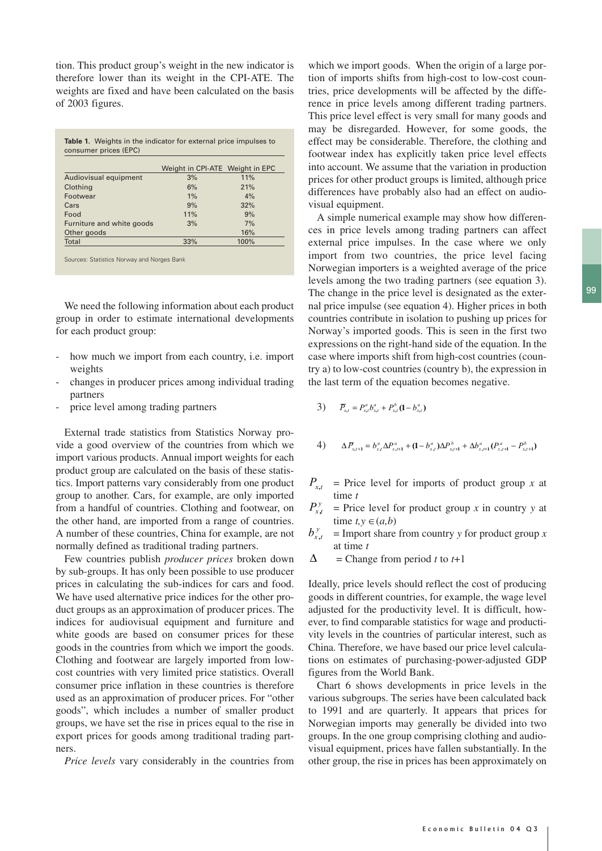tion. This product group's weight in the new indicator is therefore lower than its weight in the CPI-ATE. The weights are fixed and have been calculated on the basis of 2003 figures.

| <b>Table 1.</b> Weights in the indicator for external price impulses to<br>consumer prices (EPC) |                                 |      |  |  |  |  |
|--------------------------------------------------------------------------------------------------|---------------------------------|------|--|--|--|--|
|                                                                                                  | Weight in CPI-ATE Weight in EPC |      |  |  |  |  |
| Audiovisual equipment                                                                            | 3%                              | 11%  |  |  |  |  |
| Clothing                                                                                         | 6%                              | 21%  |  |  |  |  |
| Footwear                                                                                         | 1%                              | 4%   |  |  |  |  |
| Cars                                                                                             | 9%                              | 32%  |  |  |  |  |
| Food                                                                                             | 11%                             | 9%   |  |  |  |  |
| Furniture and white goods                                                                        | 3%                              | 7%   |  |  |  |  |
| Other goods                                                                                      |                                 | 16%  |  |  |  |  |
| Total                                                                                            | 33%                             | 100% |  |  |  |  |

Sources: Statistics Norway and Norges Bank

We need the following information about each product group in order to estimate international developments for each product group:

- how much we import from each country, i.e. import weights
- changes in producer prices among individual trading partners
- price level among trading partners

External trade statistics from Statistics Norway provide a good overview of the countries from which we import various products. Annual import weights for each product group are calculated on the basis of these statistics. Import patterns vary considerably from one product group to another. Cars, for example, are only imported from a handful of countries. Clothing and footwear, on the other hand, are imported from a range of countries. A number of these countries, China for example, are not normally defined as traditional trading partners.

Few countries publish *producer prices* broken down by sub-groups. It has only been possible to use producer prices in calculating the sub-indices for cars and food. We have used alternative price indices for the other product groups as an approximation of producer prices. The indices for audiovisual equipment and furniture and white goods are based on consumer prices for these goods in the countries from which we import the goods. Clothing and footwear are largely imported from lowcost countries with very limited price statistics. Overall consumer price inflation in these countries is therefore used as an approximation of producer prices. For "other goods", which includes a number of smaller product groups, we have set the rise in prices equal to the rise in export prices for goods among traditional trading partners.

*Price levels* vary considerably in the countries from

which we import goods. When the origin of a large portion of imports shifts from high-cost to low-cost countries, price developments will be affected by the difference in price levels among different trading partners. This price level effect is very small for many goods and may be disregarded. However, for some goods, the effect may be considerable. Therefore, the clothing and footwear index has explicitly taken price level effects into account. We assume that the variation in production prices for other product groups is limited, although price differences have probably also had an effect on audiovisual equipment.

A simple numerical example may show how differences in price levels among trading partners can affect external price impulses. In the case where we only import from two countries, the price level facing Norwegian importers is a weighted average of the price levels among the two trading partners (see equation 3). The change in the price level is designated as the external price impulse (see equation 4). Higher prices in both countries contribute in isolation to pushing up prices for Norway's imported goods. This is seen in the first two expressions on the right-hand side of the equation. In the case where imports shift from high-cost countries (country a) to low-cost countries (country b), the expression in the last term of the equation becomes negative.

3) 
$$
\overline{P}_{x,t} = P_{x,t}^a b_{x,t}^a + P_{x,t}^b (1 - b_{x,t}^a)
$$

4) 
$$
\Delta \overline{P}_{x,t+1} = b_{x,t}^a \Delta P_{x,t+1}^a + (1 - b_{x,t}^a) \Delta P_{x,t+1}^b + \Delta b_{x,t+1}^a (P_{x,t+1}^a - P_{x,t+1}^b)
$$

 $P_{x,t}$  = Price level for imports of product group *x* at time *t*

- $P_{x,t}^y$  = Price level for product group *x* in country *y* at time  $t, y \in (a, b)$
- $=$  Import share from country *y* for product group *x* at time *t*  $b_{x,t}^y$
- = Change from period *t* to *t*+1 ∆

Ideally, price levels should reflect the cost of producing goods in different countries, for example, the wage level adjusted for the productivity level. It is difficult, however, to find comparable statistics for wage and productivity levels in the countries of particular interest, such as China. Therefore, we have based our price level calculations on estimates of purchasing-power-adjusted GDP figures from the World Bank.

Chart 6 shows developments in price levels in the various subgroups. The series have been calculated back to 1991 and are quarterly. It appears that prices for Norwegian imports may generally be divided into two groups. In the one group comprising clothing and audiovisual equipment, prices have fallen substantially. In the other group, the rise in prices has been approximately on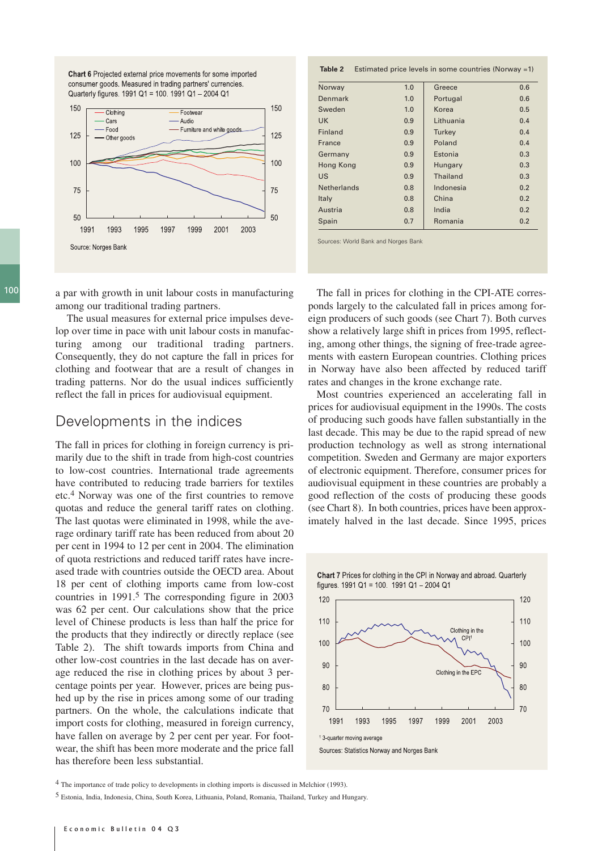

**Chart 6** Projected external price movements for some imported consumer goods. Measured in trading partners' currencies. Quarterly figures. 1991 Q1 = 100. 1991 Q1 - 2004 Q1

100 a par with growth in unit labour costs in manufacturing among our traditional trading partners.

> The usual measures for external price impulses develop over time in pace with unit labour costs in manufacturing among our traditional trading partners. Consequently, they do not capture the fall in prices for clothing and footwear that are a result of changes in trading patterns. Nor do the usual indices sufficiently reflect the fall in prices for audiovisual equipment.

#### Developments in the indices

The fall in prices for clothing in foreign currency is primarily due to the shift in trade from high-cost countries to low-cost countries. International trade agreements have contributed to reducing trade barriers for textiles etc.4 Norway was one of the first countries to remove quotas and reduce the general tariff rates on clothing. The last quotas were eliminated in 1998, while the average ordinary tariff rate has been reduced from about 20 per cent in 1994 to 12 per cent in 2004. The elimination of quota restrictions and reduced tariff rates have increased trade with countries outside the OECD area. About 18 per cent of clothing imports came from low-cost countries in 1991.5 The corresponding figure in 2003 was 62 per cent. Our calculations show that the price level of Chinese products is less than half the price for the products that they indirectly or directly replace (see Table 2). The shift towards imports from China and other low-cost countries in the last decade has on average reduced the rise in clothing prices by about 3 percentage points per year. However, prices are being pushed up by the rise in prices among some of our trading partners. On the whole, the calculations indicate that import costs for clothing, measured in foreign currency, have fallen on average by 2 per cent per year. For footwear, the shift has been more moderate and the price fall has therefore been less substantial.

| Norway             | 1.0              | Greece       | 0.6 |
|--------------------|------------------|--------------|-----|
| Denmark            | 1.0              | Portugal     | 0.6 |
| Sweden             | 1.0              | Korea        | 0.5 |
| <b>UK</b>          | Lithuania<br>0.9 |              | 0.4 |
| Finland            | 0.9              | Turkey       | 0.4 |
| France             | 0.9              | Poland       | 0.4 |
| Germany            | 0.9              | Estonia      | 0.3 |
| Hong Kong          | 0.9              | Hungary      | 0.3 |
| US                 | 0.9              | Thailand     | 0.3 |
| <b>Netherlands</b> | 0.8              | Indonesia    | 0.2 |
| Italy              | 0.8              | China        | 0.2 |
| Austria            | 0.8              | India<br>0.2 |     |
| Spain              | 0.7              | Romania      | 0.2 |

Sources: World Bank and Norges Bank

The fall in prices for clothing in the CPI-ATE corresponds largely to the calculated fall in prices among foreign producers of such goods (see Chart 7). Both curves show a relatively large shift in prices from 1995, reflecting, among other things, the signing of free-trade agreements with eastern European countries. Clothing prices in Norway have also been affected by reduced tariff rates and changes in the krone exchange rate.

Most countries experienced an accelerating fall in prices for audiovisual equipment in the 1990s. The costs of producing such goods have fallen substantially in the last decade. This may be due to the rapid spread of new production technology as well as strong international competition. Sweden and Germany are major exporters of electronic equipment. Therefore, consumer prices for audiovisual equipment in these countries are probably a good reflection of the costs of producing these goods (see Chart 8). In both countries, prices have been approximately halved in the last decade. Since 1995, prices



4 The importance of trade policy to developments in clothing imports is discussed in Melchior (1993).

5 Estonia, India, Indonesia, China, South Korea, Lithuania, Poland, Romania, Thailand, Turkey and Hungary.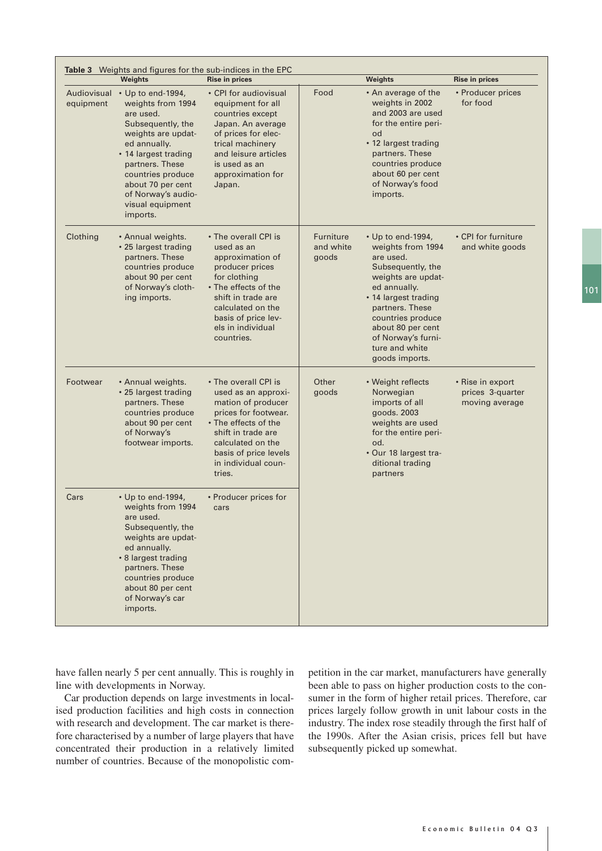|                          | <b>Weights</b>                                                                                                                                                                                                                                            | <b>Rise in prices</b>                                                                                                                                                                                                  |                                        | <b>Weights</b>                                                                                                                                                                                                                                                | <b>Rise in prices</b>                                  |
|--------------------------|-----------------------------------------------------------------------------------------------------------------------------------------------------------------------------------------------------------------------------------------------------------|------------------------------------------------------------------------------------------------------------------------------------------------------------------------------------------------------------------------|----------------------------------------|---------------------------------------------------------------------------------------------------------------------------------------------------------------------------------------------------------------------------------------------------------------|--------------------------------------------------------|
| Audiovisual<br>equipment | • Up to end-1994,<br>weights from 1994<br>are used.<br>Subsequently, the<br>weights are updat-<br>ed annually.<br>• 14 largest trading<br>partners. These<br>countries produce<br>about 70 per cent<br>of Norway's audio-<br>visual equipment<br>imports. | • CPI for audiovisual<br>equipment for all<br>countries except<br>Japan. An average<br>of prices for elec-<br>trical machinery<br>and leisure articles<br>is used as an<br>approximation for<br>Japan.                 | Food                                   | • An average of the<br>weights in 2002<br>and 2003 are used<br>for the entire peri-<br>od<br>• 12 largest trading<br>partners. These<br>countries produce<br>about 60 per cent<br>of Norway's food<br>imports.                                                | • Producer prices<br>for food                          |
| Clothing                 | • Annual weights.<br>• 25 largest trading<br>partners. These<br>countries produce<br>about 90 per cent<br>of Norway's cloth-<br>ing imports.                                                                                                              | • The overall CPI is<br>used as an<br>approximation of<br>producer prices<br>for clothing<br>• The effects of the<br>shift in trade are<br>calculated on the<br>basis of price lev-<br>els in individual<br>countries. | <b>Furniture</b><br>and white<br>goods | • Up to end-1994,<br>weights from 1994<br>are used.<br>Subsequently, the<br>weights are updat-<br>ed annually.<br>• 14 largest trading<br>partners. These<br>countries produce<br>about 80 per cent<br>of Norway's furni-<br>ture and white<br>goods imports. | • CPI for furniture<br>and white goods                 |
| Footwear                 | • Annual weights.<br>• 25 largest trading<br>partners. These<br>countries produce<br>about 90 per cent<br>of Norway's<br>footwear imports.                                                                                                                | • The overall CPI is<br>used as an approxi-<br>mation of producer<br>prices for footwear.<br>• The effects of the<br>shift in trade are<br>calculated on the<br>basis of price levels<br>in individual coun-<br>tries. | Other<br>goods                         | • Weight reflects<br>Norwegian<br>imports of all<br>goods. 2003<br>weights are used<br>for the entire peri-<br>od.<br>• Our 18 largest tra-<br>ditional trading<br>partners                                                                                   | • Rise in export<br>prices 3-quarter<br>moving average |
| Cars                     | • Up to end-1994,<br>weights from 1994<br>are used.<br>Subsequently, the<br>weights are updat-<br>ed annually.<br>• 8 largest trading<br>partners. These<br>countries produce<br>about 80 per cent<br>of Norway's car<br>imports.                         | • Producer prices for<br>cars                                                                                                                                                                                          |                                        |                                                                                                                                                                                                                                                               |                                                        |

have fallen nearly 5 per cent annually. This is roughly in line with developments in Norway.

Car production depends on large investments in localised production facilities and high costs in connection with research and development. The car market is therefore characterised by a number of large players that have concentrated their production in a relatively limited number of countries. Because of the monopolistic com-

petition in the car market, manufacturers have generally been able to pass on higher production costs to the consumer in the form of higher retail prices. Therefore, car prices largely follow growth in unit labour costs in the industry. The index rose steadily through the first half of the 1990s. After the Asian crisis, prices fell but have subsequently picked up somewhat.